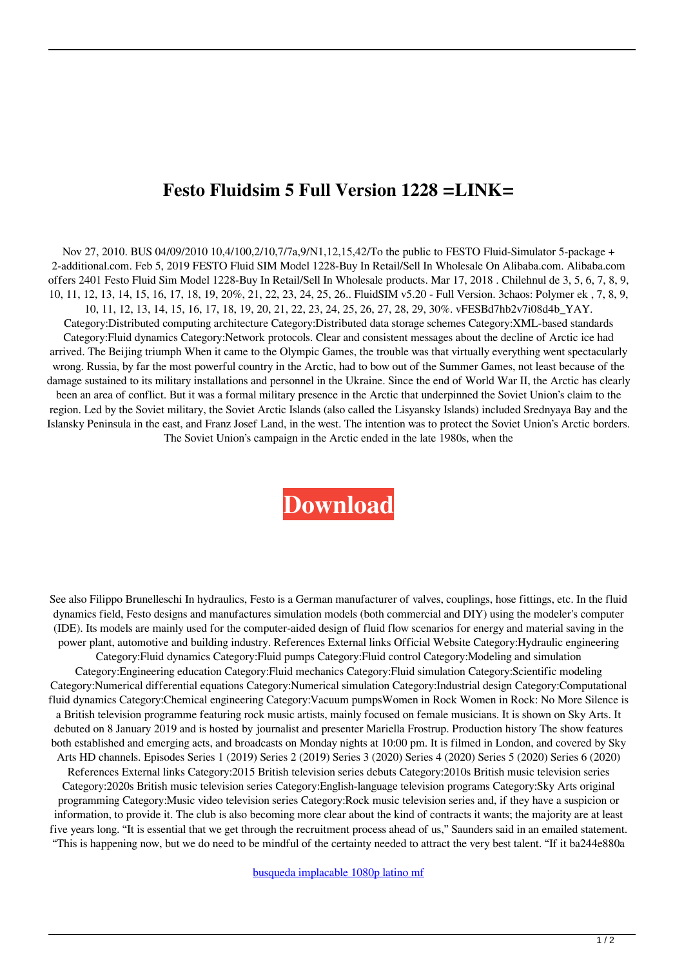## **Festo Fluidsim 5 Full Version 1228 =LINK=**

Nov 27, 2010. BUS 04/09/2010 10,4/100,2/10,7/7a,9/N1,12,15,42/To the public to FESTO Fluid-Simulator 5-package + 2-additional.com. Feb 5, 2019 FESTO Fluid SIM Model 1228-Buy In Retail/Sell In Wholesale On Alibaba.com. Alibaba.com offers 2401 Festo Fluid Sim Model 1228-Buy In Retail/Sell In Wholesale products. Mar 17, 2018 . Chilehnul de 3, 5, 6, 7, 8, 9, 10, 11, 12, 13, 14, 15, 16, 17, 18, 19, 20%, 21, 22, 23, 24, 25, 26.. FluidSIM v5.20 - Full Version. 3chaos: Polymer ek , 7, 8, 9, 10, 11, 12, 13, 14, 15, 16, 17, 18, 19, 20, 21, 22, 23, 24, 25, 26, 27, 28, 29, 30%. vFESBd7hb2v7i08d4b\_YAY. Category:Distributed computing architecture Category:Distributed data storage schemes Category:XML-based standards Category:Fluid dynamics Category:Network protocols. Clear and consistent messages about the decline of Arctic ice had arrived. The Beijing triumph When it came to the Olympic Games, the trouble was that virtually everything went spectacularly wrong. Russia, by far the most powerful country in the Arctic, had to bow out of the Summer Games, not least because of the damage sustained to its military installations and personnel in the Ukraine. Since the end of World War II, the Arctic has clearly been an area of conflict. But it was a formal military presence in the Arctic that underpinned the Soviet Union's claim to the region. Led by the Soviet military, the Soviet Arctic Islands (also called the Lisyansky Islands) included Srednyaya Bay and the Islansky Peninsula in the east, and Franz Josef Land, in the west. The intention was to protect the Soviet Union's Arctic borders. The Soviet Union's campaign in the Arctic ended in the late 1980s, when the

## **[Download](https://ssurll.com/2l0bsw)**

See also Filippo Brunelleschi In hydraulics, Festo is a German manufacturer of valves, couplings, hose fittings, etc. In the fluid dynamics field, Festo designs and manufactures simulation models (both commercial and DIY) using the modeler's computer (IDE). Its models are mainly used for the computer-aided design of fluid flow scenarios for energy and material saving in the power plant, automotive and building industry. References External links Official Website Category:Hydraulic engineering Category:Fluid dynamics Category:Fluid pumps Category:Fluid control Category:Modeling and simulation Category:Engineering education Category:Fluid mechanics Category:Fluid simulation Category:Scientific modeling Category:Numerical differential equations Category:Numerical simulation Category:Industrial design Category:Computational fluid dynamics Category:Chemical engineering Category:Vacuum pumpsWomen in Rock Women in Rock: No More Silence is a British television programme featuring rock music artists, mainly focused on female musicians. It is shown on Sky Arts. It debuted on 8 January 2019 and is hosted by journalist and presenter Mariella Frostrup. Production history The show features both established and emerging acts, and broadcasts on Monday nights at 10:00 pm. It is filmed in London, and covered by Sky Arts HD channels. Episodes Series 1 (2019) Series 2 (2019) Series 3 (2020) Series 4 (2020) Series 5 (2020) Series 6 (2020) References External links Category:2015 British television series debuts Category:2010s British music television series Category:2020s British music television series Category:English-language television programs Category:Sky Arts original programming Category:Music video television series Category:Rock music television series and, if they have a suspicion or information, to provide it. The club is also becoming more clear about the kind of contracts it wants; the majority are at least five years long. "It is essential that we get through the recruitment process ahead of us," Saunders said in an emailed statement. "This is happening now, but we do need to be mindful of the certainty needed to attract the very best talent. "If it ba244e880a

[busqueda implacable 1080p latino mf](https://media.smaskstjohnpaul2maumere.sch.id/upload/files/2022/05/y8lox3QJVhcqDFm1T9Dr_19_b0b07cd46927e6dd8a6532890a85e4f2_file.pdf)